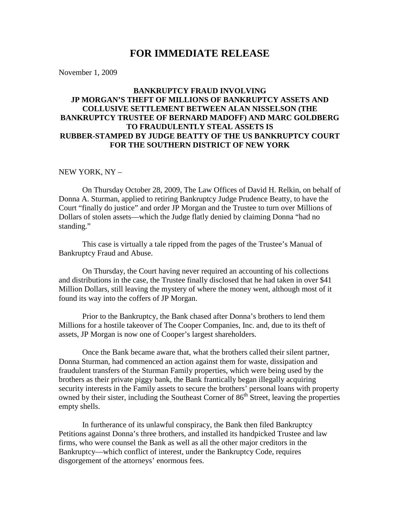## **FOR IMMEDIATE RELEASE**

November 1, 2009

## **BANKRUPTCY FRAUD INVOLVING JP MORGAN'S THEFT OF MILLIONS OF BANKRUPTCY ASSETS AND COLLUSIVE SETTLEMENT BETWEEN ALAN NISSELSON (THE BANKRUPTCY TRUSTEE OF BERNARD MADOFF) AND MARC GOLDBERG TO FRAUDULENTLY STEAL ASSETS IS RUBBER-STAMPED BY JUDGE BEATTY OF THE US BANKRUPTCY COURT FOR THE SOUTHERN DISTRICT OF NEW YORK**

## NEW YORK, NY –

On Thursday October 28, 2009, The Law Offices of David H. Relkin, on behalf of Donna A. Sturman, applied to retiring Bankruptcy Judge Prudence Beatty, to have the Court "finally do justice" and order JP Morgan and the Trustee to turn over Millions of Dollars of stolen assets—which the Judge flatly denied by claiming Donna "had no standing."

This case is virtually a tale ripped from the pages of the Trustee's Manual of Bankruptcy Fraud and Abuse.

On Thursday, the Court having never required an accounting of his collections and distributions in the case, the Trustee finally disclosed that he had taken in over \$41 Million Dollars, still leaving the mystery of where the money went, although most of it found its way into the coffers of JP Morgan.

Prior to the Bankruptcy, the Bank chased after Donna's brothers to lend them Millions for a hostile takeover of The Cooper Companies, Inc. and, due to its theft of assets, JP Morgan is now one of Cooper's largest shareholders.

Once the Bank became aware that, what the brothers called their silent partner, Donna Sturman, had commenced an action against them for waste, dissipation and fraudulent transfers of the Sturman Family properties, which were being used by the brothers as their private piggy bank, the Bank frantically began illegally acquiring security interests in the Family assets to secure the brothers' personal loans with property owned by their sister, including the Southeast Corner of  $86<sup>th</sup>$  Street, leaving the properties empty shells.

In furtherance of its unlawful conspiracy, the Bank then filed Bankruptcy Petitions against Donna's three brothers, and installed its handpicked Trustee and law firms, who were counsel the Bank as well as all the other major creditors in the Bankruptcy—which conflict of interest, under the Bankruptcy Code, requires disgorgement of the attorneys' enormous fees.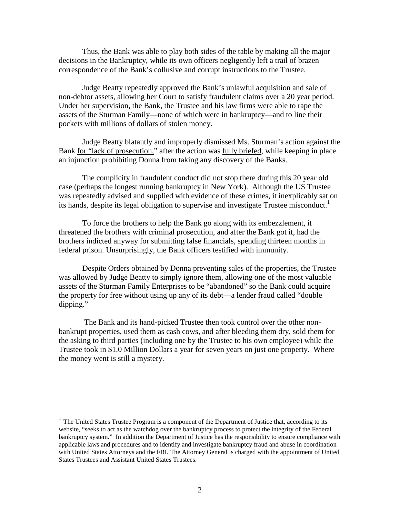Thus, the Bank was able to play both sides of the table by making all the major decisions in the Bankruptcy, while its own officers negligently left a trail of brazen correspondence of the Bank's collusive and corrupt instructions to the Trustee.

Judge Beatty repeatedly approved the Bank's unlawful acquisition and sale of non-debtor assets, allowing her Court to satisfy fraudulent claims over a 20 year period. Under her supervision, the Bank, the Trustee and his law firms were able to rape the assets of the Sturman Family—none of which were in bankruptcy—and to line their pockets with millions of dollars of stolen money.

Judge Beatty blatantly and improperly dismissed Ms. Sturman's action against the Bank for "lack of prosecution," after the action was fully briefed, while keeping in place an injunction prohibiting Donna from taking any discovery of the Banks.

The complicity in fraudulent conduct did not stop there during this 20 year old case (perhaps the longest running bankruptcy in New York). Although the US Trustee was repeatedly advised and supplied with evidence of these crimes, it inexplicably sat on its hands, despite its legal obligation to supervise and investigate Trustee misconduct.<sup>1</sup>

To force the brothers to help the Bank go along with its embezzlement, it threatened the brothers with criminal prosecution, and after the Bank got it, had the brothers indicted anyway for submitting false financials, spending thirteen months in federal prison. Unsurprisingly, the Bank officers testified with immunity.

Despite Orders obtained by Donna preventing sales of the properties, the Trustee was allowed by Judge Beatty to simply ignore them, allowing one of the most valuable assets of the Sturman Family Enterprises to be "abandoned" so the Bank could acquire the property for free without using up any of its debt—a lender fraud called "double dipping."

The Bank and its hand-picked Trustee then took control over the other nonbankrupt properties, used them as cash cows, and after bleeding them dry, sold them for the asking to third parties (including one by the Trustee to his own employee) while the Trustee took in \$1.0 Million Dollars a year for seven years on just one property. Where the money went is still a mystery.

<sup>&</sup>lt;sup>1</sup> The United States Trustee Program is a component of the [Department of Justice](http://www.usdoj.gov/) that, according to its website, "seeks to act as the watchdog over the bankruptcy process to protect the integrity of the Federal bankruptcy system." In addition the Department of Justice has the responsibility to ensure compliance with applicable laws and procedures and to identify and investigate bankruptcy fraud and abuse in coordination with [United States Attorneys](http://www.usdoj.gov/usao/) and the [FBI.](http://www.fbi.gov/) The Attorney General is charged with the appointment of United States Trustees and Assistant United States Trustees.